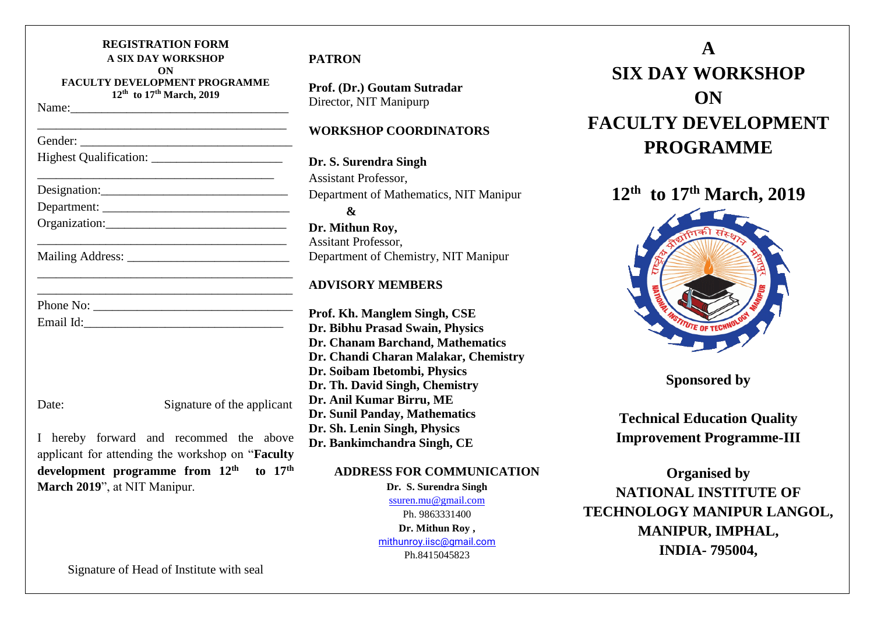| <b>REGISTRATION FORM</b><br><b>A SIX DAY WORKSHOP</b><br>ON<br><b>FACULTY DEVELOPMENT PROGRAMME</b><br>12 <sup>th</sup> to 17 <sup>th</sup> March, 2019 |  |
|---------------------------------------------------------------------------------------------------------------------------------------------------------|--|
|                                                                                                                                                         |  |
|                                                                                                                                                         |  |
|                                                                                                                                                         |  |
| Designation: 2000                                                                                                                                       |  |
|                                                                                                                                                         |  |
|                                                                                                                                                         |  |
|                                                                                                                                                         |  |
|                                                                                                                                                         |  |
| Phone No:                                                                                                                                               |  |
|                                                                                                                                                         |  |
|                                                                                                                                                         |  |
|                                                                                                                                                         |  |
| Signature of the applicant<br>Date:                                                                                                                     |  |

I hereby forward and recommed the above applicant for attending the workshop on "**Faculty development programme from 12th to 17th March 2019**", at NIT Manipur.

# **PATRON**

**Prof. (Dr.) Goutam Sutradar** Director, NIT Manipurp

## **WORKSHOP COORDINATORS**

**Dr. S. Surendra Singh** Assistant Professor, Department of Mathematics, NIT Manipur **& Dr. Mithun Roy,** Assitant Professor, Department of Chemistry, NIT Manipur

### **ADVISORY MEMBERS**

**Prof. Kh. Manglem Singh, CSE Dr. Bibhu Prasad Swain, Physics Dr. Chanam Barchand, Mathematics Dr. Chandi Charan Malakar, Chemistry Dr. Soibam Ibetombi, Physics Dr. Th. David Singh, Chemistry Dr. Anil Kumar Birru, ME Dr. Sunil Panday, Mathematics Dr. Sh. Lenin Singh, Physics Dr. Bankimchandra Singh, CE**

### **ADDRESS FOR COMMUNICATION**

**Dr. S. Surendra Singh** [ssuren.mu@gmail.com](mailto:ssuren.mu@gmail.com) Ph. 9863331400 **Dr. Mithun Roy ,** [mithunroy.iisc@gmail.com](mailto:mithunroy.iisc@gmail.com) Ph.8415045823

**A SIX DAY WORKSHOP ON FACULTY DEVELOPMENT PROGRAMME** 

**12 th to 17th March, 2019**



**Sponsored by** 

**Technical Education Quality Improvement Programme-III**

**Organised by NATIONAL INSTITUTE OF TECHNOLOGY MANIPUR LANGOL, MANIPUR, IMPHAL, INDIA- 795004,**

Signature of Head of Institute with seal